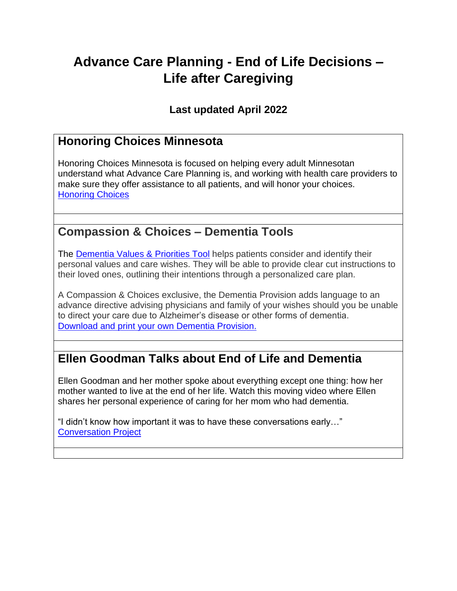# **Advance Care Planning - End of Life Decisions – Life after Caregiving**

### **Last updated April 2022**

### **Honoring Choices Minnesota**

Honoring Choices Minnesota is focused on helping every adult Minnesotan understand what Advance Care Planning is, and working with health care providers to make sure they offer assistance to all patients, and will honor your choices. [Honoring Choices](https://www.honoringchoices.org/)

### **Compassion & Choices – Dementia Tools**

The **Dementia Values & Priorities Tool** helps patients consider and identify their personal values and care wishes. They will be able to provide clear cut instructions to their loved ones, outlining their intentions through a personalized care plan.

A Compassion & Choices exclusive, the Dementia Provision adds language to an advance directive advising physicians and family of your wishes should you be unable to direct your care due to Alzheimer's disease or other forms of dementia. [Download and print your own Dementia Provision.](https://www.compassionandchoices.org/docs/default-source/default-document-library/dementia-provision-only-final-6-29-20-pdf.pdf?sfvrsn=2aebdcb5_)

### **Ellen Goodman Talks about End of Life and Dementia**

Ellen Goodman and her mother spoke about everything except one thing: how her mother wanted to live at the end of her life. Watch this moving video where Ellen shares her personal experience of caring for her mom who had dementia.

"I didn't know how important it was to have these conversations early…" [Conversation Project](https://theconversationproject.org/tcp-blog/ellen-goodman-talks-dementia-and-alzheimers-disease/)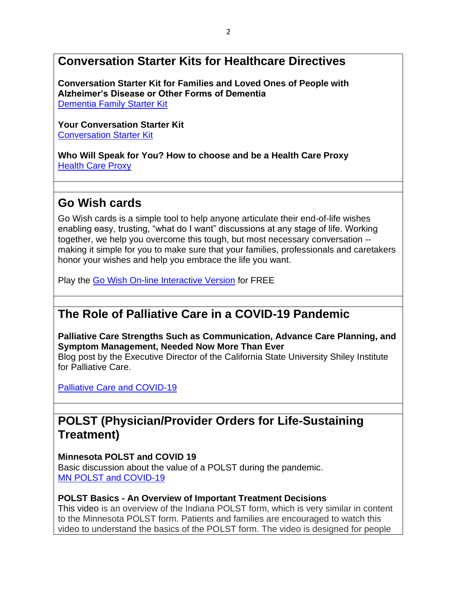## **Conversation Starter Kits for Healthcare Directives**

**Conversation Starter Kit for Families and Loved Ones of People with Alzheimer's Disease or Other Forms of Dementia** [Dementia Family Starter Kit](https://theconversationproject.org/starter-kits/#alzheimers-kit)

**Your Conversation Starter Kit** [Conversation Starter Kit](https://theconversationproject.org/wp-content/uploads/2017/02/ConversationProject-ConvoStarterKit-English.pdf)

**Who Will Speak for You? How to choose and be a Health Care Proxy** [Health Care Proxy](https://theconversationproject.org/wp-content/uploads/2017/03/ConversationProject-ProxyKit-English.pdf)

## **Go Wish cards**

Go Wish cards is a simple tool to help anyone articulate their end-of-life wishes enabling easy, trusting, "what do I want" discussions at any stage of life. Working together, we help you overcome this tough, but most necessary conversation - making it simple for you to make sure that your families, professionals and caretakers honor your wishes and help you embrace the life you want.

Play the Go Wish [On-line Interactive Version](http://www.gowish.org/gowish/gowish.html) for FREE

## **The Role of Palliative Care in a COVID-19 Pandemic**

**Palliative Care Strengths Such as Communication, Advance Care Planning, and Symptom Management, Needed Now More Than Ever** 

Blog post by the Executive Director of the California State University Shiley Institute for Palliative Care.

[Palliative Care and COVID-19](https://csupalliativecare.org/palliative-care-and-covid-19/)

### **POLST (Physician/Provider Orders for Life-Sustaining Treatment)**

#### **Minnesota POLST and COVID 19**

Basic discussion about the value of a POLST during the pandemic. [MN POLST and COVID-19](https://www.mnmed.org/getattachment/advocacy/improving-health-of-minnesotans/POLST/POLST-AND-Covid-19-Final-4-6-20-2.pdf.aspx?lang=en-US)

#### **POLST Basics - An Overview of Important Treatment Decisions**

This [video](https://youtu.be/ci7KlDJQpFU) is an overview of the Indiana POLST form, which is very similar in content to the Minnesota POLST form. Patients and families are encouraged to watch this video to understand the basics of the POLST form. The video is designed for people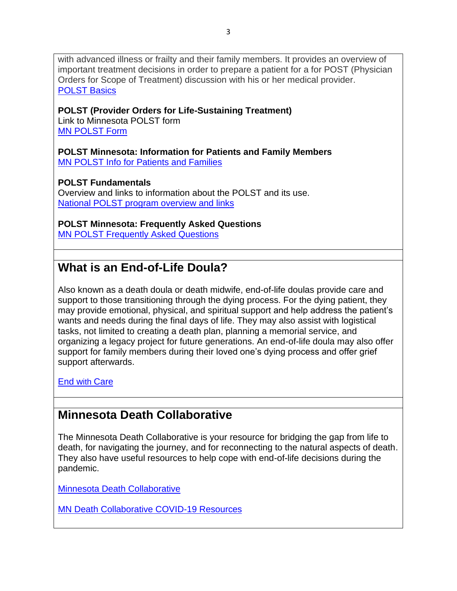with advanced illness or frailty and their family members. It provides an overview of important treatment decisions in order to prepare a patient for a for POST (Physician Orders for Scope of Treatment) discussion with his or her medical provider. [POLST Basics](https://www.youtube.com/watch?v=ci7KlDJQpFU&feature=youtu.be)

#### **POLST (Provider Orders for Life-Sustaining Treatment)**

Link to Minnesota POLST form [MN POLST Form](https://www.mnmed.org/getattachment/advocacy/improving-health-of-minnesotans/POLST/POLST-Form.pdf.aspx?lang=en-US)

#### **POLST Minnesota: Information for Patients and Family Members** [MN POLST Info for Patients and Families](https://www.mnmed.org/getattachment/advocacy/improving-health-of-minnesotans/POLST/FINAL-POLST-for-patients-and-families-nov-2017.pdf.aspx?lang=en-US)

**POLST Fundamentals**

Overview and links to information about the POLST and its use. [National POLST program overview and links](https://polst.org/about-the-national-polst-paradigm/what-is-polst/)

#### **POLST Minnesota: Frequently Asked Questions**

[MN POLST Frequently Asked Questions](https://www.mnmed.org/getattachment/advocacy/improving-health-of-minnesotans/POLST/FINAL-POLST-general_FAQs-Oct-2017.pdf.aspx?lang=en-US)

## **What is an End-of-Life Doula?**

Also known as a death doula or death midwife, end-of-life doulas provide care and support to those transitioning through the dying process. For the dying patient, they may provide emotional, physical, and spiritual support and help address the patient's wants and needs during the final days of life. They may also assist with logistical tasks, not limited to creating a death plan, planning a memorial service, and organizing a legacy project for future generations. An end-of-life doula may also offer support for family members during their loved one's dying process and offer grief support afterwards.

[End w](https://www.endwithcare.org/blogs/FullPost.php?id=25&gclid=CjwKCAjwkPX0BRBKEiwA7THxiBvqaLnF21uGgIIgXsdFFbob-AeeB6D_a755UBCnVbNVjS4l3mGXNBoCQ0MQAvD_BwE)ith Care

### **Minnesota Death Collaborative**

The Minnesota Death Collaborative is your resource for bridging the gap from life to death, for navigating the journey, and for reconnecting to the natural aspects of death. They also have useful resources to help cope with end-of-life decisions during the pandemic.

[Minnesota Death Collaborative](https://www.mndeathcollaborative.com/)

[MN Death Collaborative COVID-19 Resources](https://www.mndeathcollaborative.com/covid19_resources.html)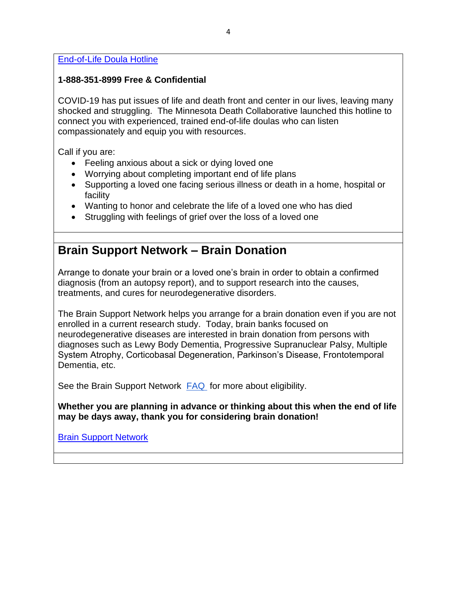[End-of-Life Doula Hotline](https://www.mndeathcollaborative.com/doula_hotline.html) 

#### **1-888-351-8999 Free & Confidential**

COVID-19 has put issues of life and death front and center in our lives, leaving many shocked and struggling. The Minnesota Death Collaborative launched this hotline to connect you with experienced, trained end-of-life doulas who can listen compassionately and equip you with resources.

Call if you are:

- Feeling anxious about a sick or dying loved one
- Worrying about completing important end of life plans
- Supporting a loved one facing serious illness or death in a home, hospital or facility
- Wanting to honor and celebrate the life of a loved one who has died
- Struggling with feelings of grief over the loss of a loved one

## **Brain Support Network – Brain Donation**

Arrange to donate your brain or a loved one's brain in order to obtain a confirmed diagnosis (from an autopsy report), and to support research into the causes, treatments, and cures for neurodegenerative disorders.

The Brain Support Network helps you arrange for a brain donation even if you are not enrolled in a current research study. Today, brain banks focused on neurodegenerative diseases are interested in brain donation from persons with diagnoses such as Lewy Body Dementia, Progressive Supranuclear Palsy, Multiple System Atrophy, Corticobasal Degeneration, Parkinson's Disease, Frontotemporal Dementia, etc.

See the Brain Support Network [FAQ](https://www.brainsupportnetwork.org/brain-donation/brain-donation-faq#eligibility) for more about eligibility.

**Whether you are planning in advance or thinking about this when the end of life may be days away, thank you for considering brain donation!**

[Brain Support Network](https://www.brainsupportnetwork.org/)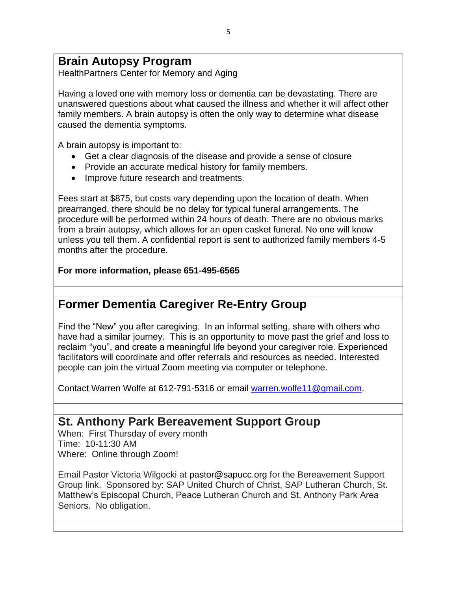## **Brain Autopsy Program**

HealthPartners Center for Memory and Aging

Having a loved one with memory loss or dementia can be devastating. There are unanswered questions about what caused the illness and whether it will affect other family members. A brain autopsy is often the only way to determine what disease caused the dementia symptoms.

A brain autopsy is important to:

- Get a clear diagnosis of the disease and provide a sense of closure
- Provide an accurate medical history for family members.
- Improve future research and treatments.

Fees start at \$875, but costs vary depending upon the location of death. When prearranged, there should be no delay for typical funeral arrangements. The procedure will be performed within 24 hours of death. There are no obvious marks from a brain autopsy, which allows for an open casket funeral. No one will know unless you tell them. A confidential report is sent to authorized family members 4-5 months after the procedure.

#### **For more information, please 651-495-6565**

### **Former Dementia Caregiver Re-Entry Group**

Find the "New" you after caregiving. In an informal setting, share with others who have had a similar journey. This is an opportunity to move past the grief and loss to reclaim "you", and create a meaningful life beyond your caregiver role. Experienced facilitators will coordinate and offer referrals and resources as needed. Interested people can join the virtual Zoom meeting via computer or telephone.

Contact Warren Wolfe at 612-791-5316 or email [warren.wolfe11@gmail.com.](mailto:warren.wolfe11@gmail.com)

### **St. Anthony Park Bereavement Support Group**

When: First Thursday of every month Time: 10-11:30 AM Where: Online through Zoom!

Email Pastor Victoria Wilgocki at pastor@sapucc.org for the Bereavement Support Group link. Sponsored by: SAP United Church of Christ, SAP Lutheran Church, St. Matthew's Episcopal Church, Peace Lutheran Church and St. Anthony Park Area Seniors. No obligation.